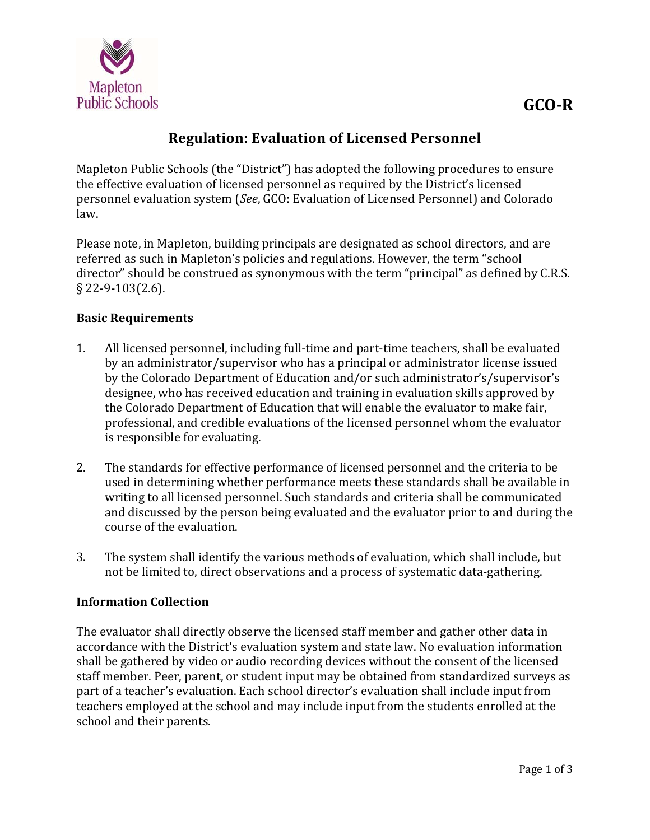

# **Regulation: Evaluation of Licensed Personnel**

Mapleton Public Schools (the "District") has adopted the following procedures to ensure the effective evaluation of licensed personnel as required by the District's licensed personnel evaluation system (*See*, GCO: Evaluation of Licensed Personnel) and Colorado law. 

Please note, in Mapleton, building principals are designated as school directors, and are referred as such in Mapleton's policies and regulations. However, the term "school director" should be construed as synonymous with the term "principal" as defined by C.R.S. § 22-9-103(2.6).

#### **Basic Requirements**

- 1. All licensed personnel, including full-time and part-time teachers, shall be evaluated by an administrator/supervisor who has a principal or administrator license issued by the Colorado Department of Education and/or such administrator's/supervisor's designee, who has received education and training in evaluation skills approved by the Colorado Department of Education that will enable the evaluator to make fair, professional, and credible evaluations of the licensed personnel whom the evaluator is responsible for evaluating.
- 2. The standards for effective performance of licensed personnel and the criteria to be used in determining whether performance meets these standards shall be available in writing to all licensed personnel. Such standards and criteria shall be communicated and discussed by the person being evaluated and the evaluator prior to and during the course of the evaluation.
- 3. The system shall identify the various methods of evaluation, which shall include, but not be limited to, direct observations and a process of systematic data-gathering.

#### **Information Collection**

The evaluator shall directly observe the licensed staff member and gather other data in accordance with the District's evaluation system and state law. No evaluation information shall be gathered by video or audio recording devices without the consent of the licensed staff member. Peer, parent, or student input may be obtained from standardized surveys as part of a teacher's evaluation. Each school director's evaluation shall include input from teachers employed at the school and may include input from the students enrolled at the school and their parents.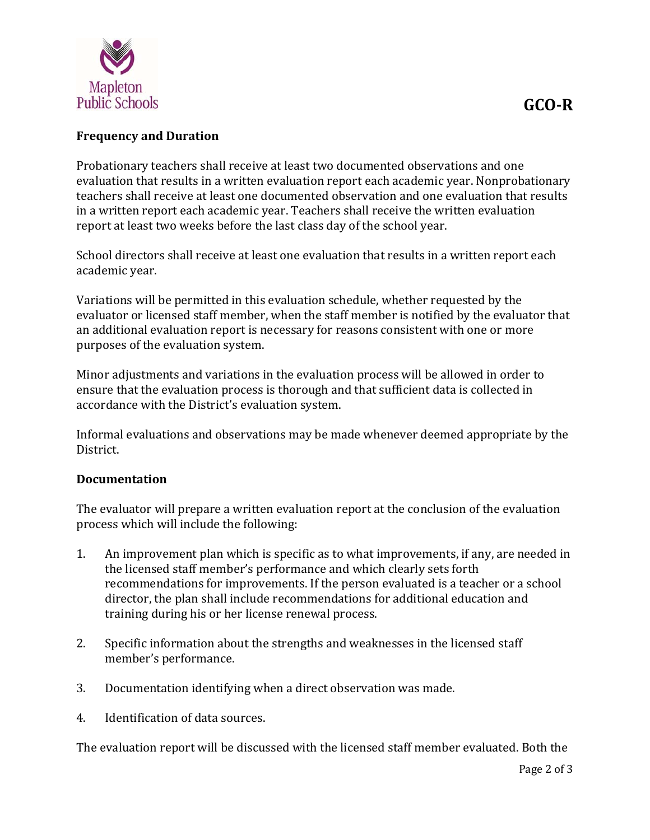

## **Frequency and Duration**

Probationary teachers shall receive at least two documented observations and one evaluation that results in a written evaluation report each academic year. Nonprobationary teachers shall receive at least one documented observation and one evaluation that results in a written report each academic year. Teachers shall receive the written evaluation report at least two weeks before the last class day of the school year.

School directors shall receive at least one evaluation that results in a written report each academic year.

Variations will be permitted in this evaluation schedule, whether requested by the evaluator or licensed staff member, when the staff member is notified by the evaluator that an additional evaluation report is necessary for reasons consistent with one or more purposes of the evaluation system.

Minor adjustments and variations in the evaluation process will be allowed in order to ensure that the evaluation process is thorough and that sufficient data is collected in accordance with the District's evaluation system.

Informal evaluations and observations may be made whenever deemed appropriate by the District. 

#### **Documentation**

The evaluator will prepare a written evaluation report at the conclusion of the evaluation process which will include the following:

- 1. An improvement plan which is specific as to what improvements, if any, are needed in the licensed staff member's performance and which clearly sets forth recommendations for improvements. If the person evaluated is a teacher or a school director, the plan shall include recommendations for additional education and training during his or her license renewal process.
- 2. Specific information about the strengths and weaknesses in the licensed staff member's performance.
- 3. Documentation identifying when a direct observation was made.
- 4. Identification of data sources.

The evaluation report will be discussed with the licensed staff member evaluated. Both the